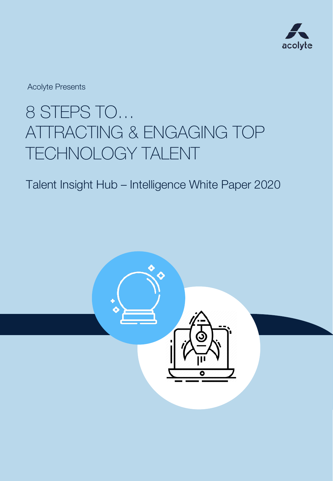

Acolyte Presents

## 8 STEPS TO… ATTRACTING & ENGAGING TOP TECHNOLOGY TALENT

### Talent Insight Hub – Intelligence White Paper 2020

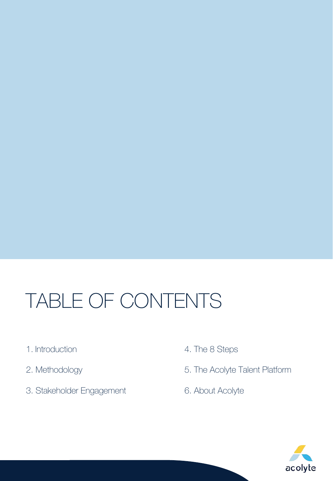# TABLE OF CONTENTS

- 1. Introduction
- 2. Methodology
- 3. Stakeholder Engagement
- 4. The 8 Steps
- 5. The Acolyte Talent Platform
- 6. About Acolyte

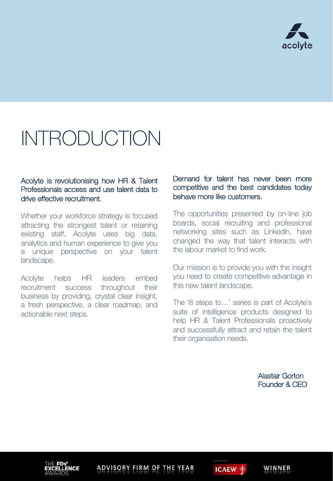

# INTRODUCTION

#### Acolyte is revolutionising how HR & Talent Professionals access and use talent data to drive effective recruitment.

Whether your workforce strategy is focused attracting the strongest talent or retaining existing staff, Acolyte uses big data, analytics and human experience to give you a unique perspective on your talent landscape.

Acolyte helps HR leaders embed recruitment success throughout their business by providing, crystal clear insight, a fresh perspective, a clear roadmap, and actionable next steps.

#### Demand for talent has never been more competitive and the best candidates today behave more like customers.

The opportunities presented by on-line job boards, social recruiting and professional networking sites such as LinkedIn, have changed the way that talent interacts with the labour market to find work.

Our mission is to provide you with the insight you need to create competitive advantage in this new talent landscape.

The '8 steps to…' series is part of Acolyte's suite of intelligence products designed to help HR & Talent Professionals proactively and successfully attract and retain the talent their organisation needs.

> Alastair Gorton Founder & CEO

> > WINNER

ADVISORY FIRM OF THE YEAR

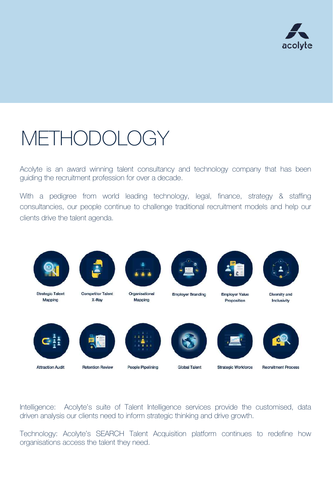

# METHODOLOGY

Acolyte is an award winning talent consultancy and technology company that has been guiding the recruitment profession for over a decade.

With a pedigree from world leading technology, legal, finance, strategy & staffing consultancies, our people continue to challenge traditional recruitment models and help our clients drive the talent agenda.



Intelligence: Acolyte's suite of Talent Intelligence services provide the customised, data driven analysis our clients need to inform strategic thinking and drive growth.

Technology: Acolyte's SEARCH Talent Acquisition platform continues to redefine how organisations access the talent they need.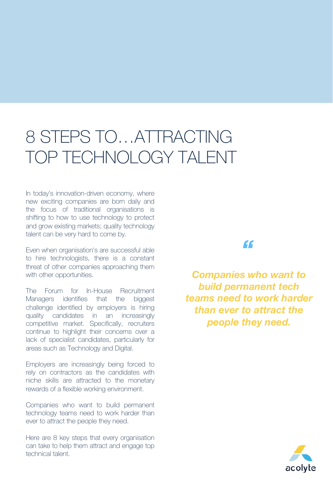## 8 STEPS TO…ATTRACTING TOP TECHNOLOGY TALENT

In today's innovation-driven economy, where new exciting companies are born daily and the focus of traditional organisations is shifting to how to use technology to protect and grow existing markets; quality technology talent can be very hard to come by.

Even when organisation's are successful able to hire technologists, there is a constant threat of other companies approaching them with other opportunities.

The Forum for In-House Recruitment Managers identifies that the biggest challenge identified by employers is hiring quality candidates in an increasingly competitive market. Specifically, recruiters continue to highlight their concerns over a lack of specialist candidates, particularly for areas such as Technology and Digital.

Employers are increasingly being forced to rely on contractors as the candidates with niche skills are attracted to the monetary rewards of a flexible working environment.

Companies who want to build permanent technology teams need to work harder than ever to attract the people they need.

Here are 8 key steps that every organisation can take to help them attract and engage top technical talent.

### *"*

*Companies who want to build permanent tech teams need to work harder than ever to attract the people they need.*

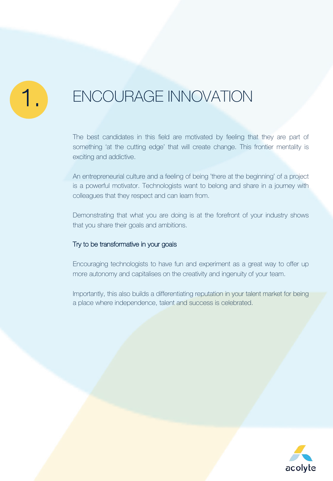### ENCOURAGE INNOVATION

The best candidates in this field are motivated by feeling that they are part of something 'at the cutting edge' that will create change. This frontier mentality is exciting and addictive.

An entrepreneurial culture and a feeling of being 'there at the beginning' of a project is a powerful motivator. Technologists want to belong and share in a journey with colleagues that they respect and can learn from.

Demonstrating that what you are doing is at the forefront of your industry shows that you share their goals and ambitions.

#### Try to be transformative in your goals

Encouraging technologists to have fun and experiment as a great way to offer up more autonomy and capitalises on the creativity and ingenuity of your team.

Importantly, this also builds a differentiating reputation in your talent market for being a place where independence, talent and success is celebrated.

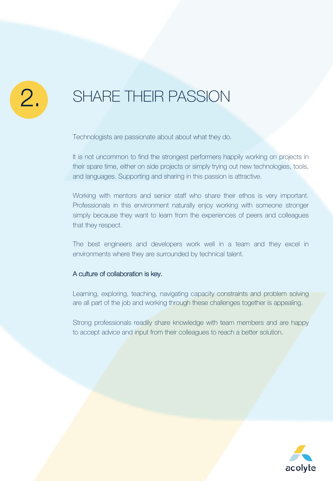### SHARE THEIR PASSION

Technologists are passionate about about what they do.

It is not uncommon to find the strongest performers happily working on projects in their spare time, either on side projects or simply trying out new technologies, tools, and languages. Supporting and sharing in this passion is attractive.

Working with mentors and senior staff who share their ethos is very important. Professionals in this environment naturally enjoy working with someone stronger simply because they want to learn from the experiences of peers and colleagues that they respect.

The best engineers and developers work well in a team and they excel in environments where they are surrounded by technical talent.

#### A culture of collaboration is key.

Learning, exploring, teaching, navigating capacity constraints and problem solving are all part of the job and working through these challenges together is appealing.

Strong professionals readily share knowledge with team members and are happy to accept advice and input from their colleagues to reach a better solution.

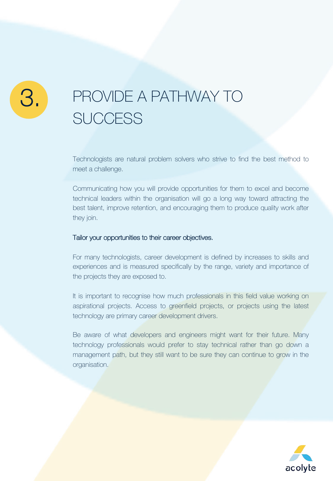### PROVIDE A PATHWAY TO **SUCCESS**

Technologists are natural problem solvers who strive to find the best method to meet a challenge.

Communicating how you will provide opportunities for them to excel and become technical leaders within the organisation will go a long way toward attracting the best talent, improve retention, and encouraging them to produce quality work after they join.

#### Tailor your opportunities to their career objectives.

For many technologists, career development is defined by increases to skills and experiences and is measured specifically by the range, variety and importance of the projects they are exposed to.

It is important to recognise how much professionals in this field value working on aspirational projects. Access to greenfield projects, or projects using the latest technology are primary career development drivers.

Be aware of what developers and engineers might want for their future. Many technology professionals would prefer to stay technical rather than go down a management path, but they still want to be sure they can continue to grow in the organisation.

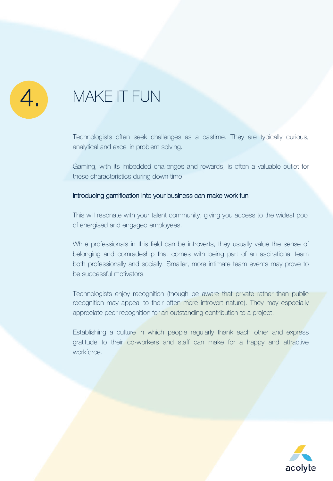### MAKE IT FUN

Technologists often seek challenges as a pastime. They are typically curious, analytical and excel in problem solving.

Gaming, with its imbedded challenges and rewards, is often a valuable outlet for these characteristics during down time.

#### Introducing gamification into your business can make work fun

This will resonate with your talent community, giving you access to the widest pool of energised and engaged employees.

While professionals in this field can be introverts, they usually value the sense of belonging and comradeship that comes with being part of an aspirational team both professionally and socially. Smaller, more intimate team events may prove to be successful motivators.

Technologists enjoy recognition (though be aware that private rather than public recognition may appeal to their often more introvert nature). They may especially appreciate peer recognition for an outstanding contribution to a project.

Establishing a culture in which people regularly thank each other and express gratitude to their co-workers and staff can make for a happy and attractive workforce.

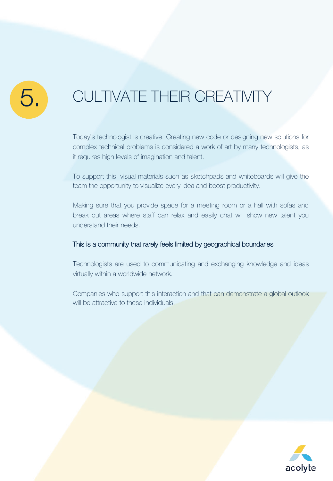### CULTIVATE THEIR CREATIVITY

Today's technologist is creative. Creating new code or designing new solutions for complex technical problems is considered a work of art by many technologists, as it requires high levels of imagination and talent.

To support this, visual materials such as sketchpads and whiteboards will give the team the opportunity to visualize every idea and boost productivity.

Making sure that you provide space for a meeting room or a hall with sofas and break out areas where staff can relax and easily chat will show new talent you understand their needs.

#### This is a community that rarely feels limited by geographical boundaries

Technologists are used to communicating and exchanging knowledge and ideas virtually within a worldwide network.

Companies who support this interaction and that can demonstrate a global outlook will be attractive to these individuals.

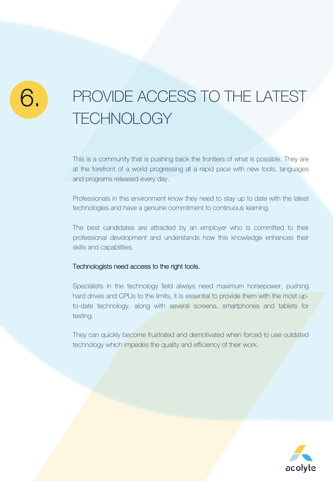## PROVIDE ACCESS TO THE LATEST **TECHNOLOGY**

This is a community that is pushing back the frontiers of what is possible. They are at the forefront of a world progressing at a rapid pace with new tools, languages and programs released every day.

Professionals in this environment know they need to stay up to date with the latest technologies and have a genuine commitment to continuous learning.

The best candidates are attracted by an employer who is committed to their professional development and understands how this knowledge enhances their skills and capabilities.

#### Technologists need access to the right tools.

Specialists in the technology field always need maximum horsepower, pushing hard drives and CPUs to the limits, it is essential to provide them with the most upto-date technology, along with several screens, smartphones and tablets for testing.

They can quickly become frustrated and demotivated when forced to use outdated technology which impedes the quality and efficiency of their work.

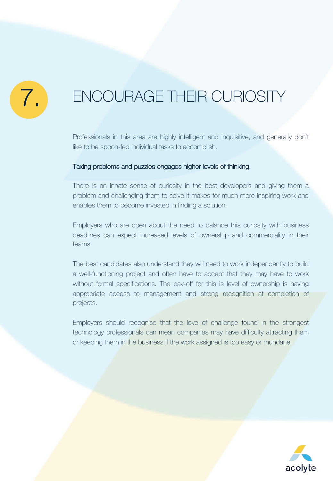

### ENCOURAGE THEIR CURIOSITY

Professionals in this area are highly intelligent and inquisitive, and generally don't like to be spoon-fed individual tasks to accomplish.

#### Taxing problems and puzzles engages higher levels of thinking.

There is an innate sense of curiosity in the best developers and giving them a problem and challenging them to solve it makes for much more inspiring work and enables them to become invested in finding a solution.

Employers who are open about the need to balance this curiosity with business deadlines can expect increased levels of ownership and commerciality in their teams.

The best candidates also understand they will need to work independently to build a well-functioning project and often have to accept that they may have to work without formal specifications. The pay-off for this is level of ownership is having appropriate access to management and strong recognition at completion of projects.

Employers should recognise that the love of challenge found in the strongest technology professionals can mean companies may have difficulty attracting them or keeping them in the business if the work assigned is too easy or mundane.

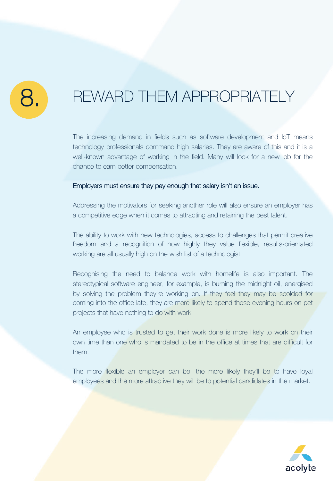### REWARD THEM APPROPRIATELY

The increasing demand in fields such as software development and IoT means technology professionals command high salaries. They are aware of this and it is a well-known advantage of working in the field. Many will look for a new job for the chance to earn better compensation.

#### Employers must ensure they pay enough that salary isn't an issue.

Addressing the motivators for seeking another role will also ensure an employer has a competitive edge when it comes to attracting and retaining the best talent.

The ability to work with new technologies, access to challenges that permit creative freedom and a recognition of how highly they value flexible, results-orientated working are all usually high on the wish list of a technologist.

Recognising the need to balance work with homelife is also important. The stereotypical software engineer, for example, is burning the midnight oil, energised by solving the problem they're working on. If they feel they may be scolded for coming into the office late, they are more likely to spend those evening hours on pet projects that have nothing to do with work.

An employee who is trusted to get their work done is more likely to work on their own time than one who is mandated to be in the office at times that are difficult for them.

The more flexible an employer can be, the more likely they'll be to have loyal employees and the more attractive they will be to potential candidates in the market.

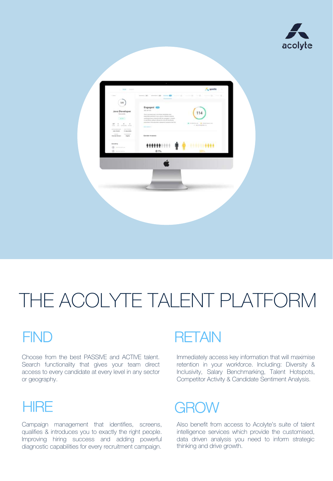



# THE ACOLYTE TALENT PLATFORM

### **FIND**

Choose from the best PASSIVE and ACTIVE talent. Search functionality that gives your team direct access to every candidate at every level in any sector or geography.

### **HIRE**

Campaign management that identifies, screens, qualifies & introduces you to exactly the right people. Improving hiring success and adding powerful diagnostic capabilities for every recruitment campaign.

### **RETAIN**

Immediately access key information that will maximise retention in your workforce. Including: Diversity & Inclusivity, Salary Benchmarking, Talent Hotspots, Competitor Activity & Candidate Sentiment Analysis.



Also benefit from access to Acolyte's suite of talent intelligence services which provide the customised, data driven analysis you need to inform strategic thinking and drive growth.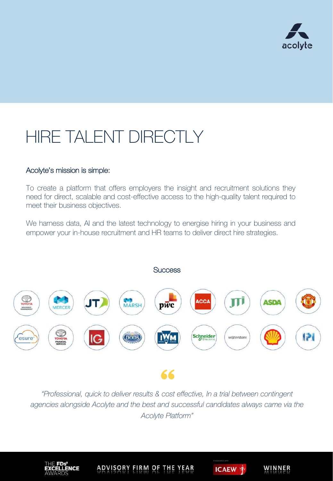

## HIRE TALENT DIRECTLY

#### Acolyte's mission is simple:

To create a platform that offers employers the insight and recruitment solutions they need for direct, scalable and cost-effective access to the high-quality talent required to meet their business objectives.

We harness data, AI and the latest technology to energise hiring in your business and empower your in-house recruitment and HR teams to deliver direct hire strategies.



*"Professional, quick to deliver results & cost effective, In a trial between contingent agencies alongside Acolyte and the best and successful candidates always came via the Acolyte Platform"* 



**ADVISORY FIRM OF**